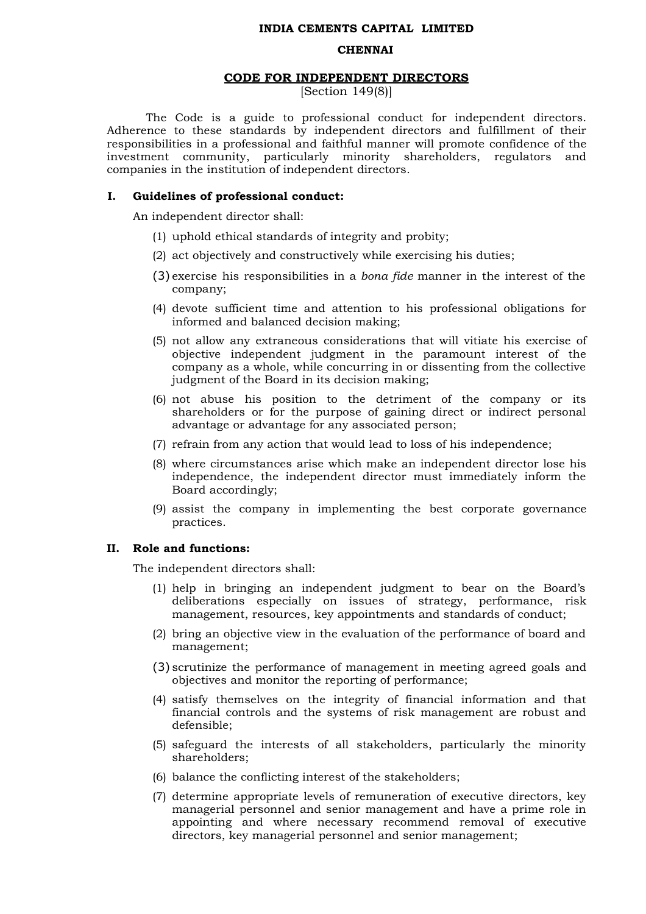#### **INDIA CEMENTS CAPITAL LIMITED**

#### **CHENNAI**

#### **CODE FOR INDEPENDENT DIRECTORS**

[Section 149(8)]

The Code is a guide to professional conduct for independent directors. Adherence to these standards by independent directors and fulfillment of their responsibilities in a professional and faithful manner will promote confidence of the investment community, particularly minority shareholders, regulators and companies in the institution of independent directors.

#### **I. Guidelines of professional conduct:**

An independent director shall:

- (1) uphold ethical standards of integrity and probity;
- (2) act objectively and constructively while exercising his duties;
- (3) exercise his responsibilities in a *bona fide* manner in the interest of the company;
- (4) devote sufficient time and attention to his professional obligations for informed and balanced decision making;
- (5) not allow any extraneous considerations that will vitiate his exercise of objective independent judgment in the paramount interest of the company as a whole, while concurring in or dissenting from the collective judgment of the Board in its decision making;
- (6) not abuse his position to the detriment of the company or its shareholders or for the purpose of gaining direct or indirect personal advantage or advantage for any associated person;
- (7) refrain from any action that would lead to loss of his independence;
- (8) where circumstances arise which make an independent director lose his independence, the independent director must immediately inform the Board accordingly;
- (9) assist the company in implementing the best corporate governance practices.

#### **II. Role and functions:**

The independent directors shall:

- (1) help in bringing an independent judgment to bear on the Board's deliberations especially on issues of strategy, performance, risk management, resources, key appointments and standards of conduct;
- (2) bring an objective view in the evaluation of the performance of board and management;
- (3) scrutinize the performance of management in meeting agreed goals and objectives and monitor the reporting of performance;
- (4) satisfy themselves on the integrity of financial information and that financial controls and the systems of risk management are robust and defensible;
- (5) safeguard the interests of all stakeholders, particularly the minority shareholders;
- (6) balance the conflicting interest of the stakeholders;
- (7) determine appropriate levels of remuneration of executive directors, key managerial personnel and senior management and have a prime role in appointing and where necessary recommend removal of executive directors, key managerial personnel and senior management;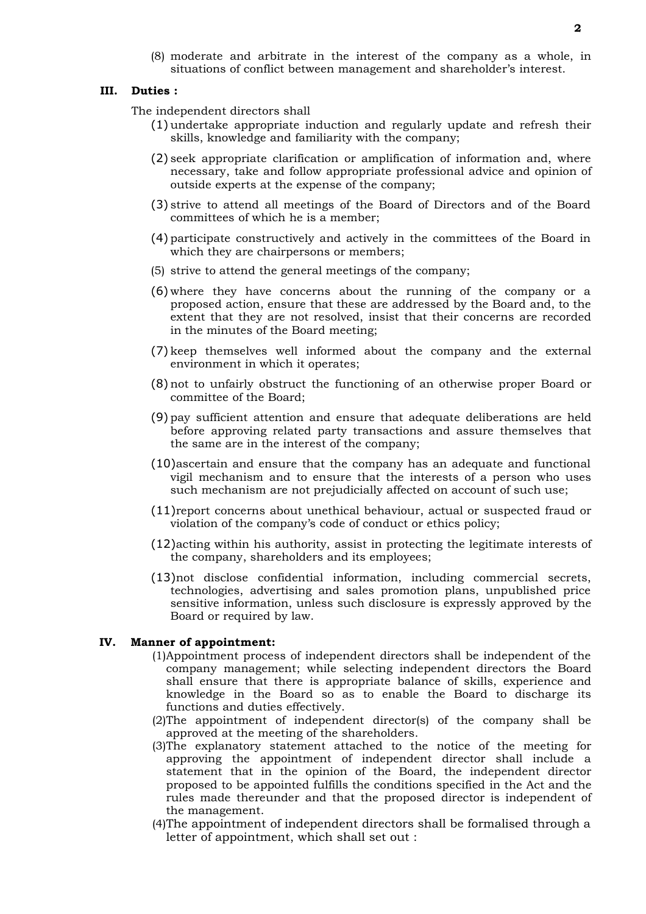(8) moderate and arbitrate in the interest of the company as a whole, in situations of conflict between management and shareholder's interest.

### **III. Duties :**

The independent directors shall

- (1) undertake appropriate induction and regularly update and refresh their skills, knowledge and familiarity with the company;
- (2) seek appropriate clarification or amplification of information and, where necessary, take and follow appropriate professional advice and opinion of outside experts at the expense of the company;
- (3) strive to attend all meetings of the Board of Directors and of the Board committees of which he is a member;
- (4) participate constructively and actively in the committees of the Board in which they are chairpersons or members;
- (5) strive to attend the general meetings of the company;
- (6) where they have concerns about the running of the company or a proposed action, ensure that these are addressed by the Board and, to the extent that they are not resolved, insist that their concerns are recorded in the minutes of the Board meeting;
- (7) keep themselves well informed about the company and the external environment in which it operates;
- (8) not to unfairly obstruct the functioning of an otherwise proper Board or committee of the Board;
- (9) pay sufficient attention and ensure that adequate deliberations are held before approving related party transactions and assure themselves that the same are in the interest of the company;
- (10)ascertain and ensure that the company has an adequate and functional vigil mechanism and to ensure that the interests of a person who uses such mechanism are not prejudicially affected on account of such use;
- (11)report concerns about unethical behaviour, actual or suspected fraud or violation of the company's code of conduct or ethics policy;
- (12)acting within his authority, assist in protecting the legitimate interests of the company, shareholders and its employees;
- (13)not disclose confidential information, including commercial secrets, technologies, advertising and sales promotion plans, unpublished price sensitive information, unless such disclosure is expressly approved by the Board or required by law.

### **IV. Manner of appointment:**

- (1)Appointment process of independent directors shall be independent of the company management; while selecting independent directors the Board shall ensure that there is appropriate balance of skills, experience and knowledge in the Board so as to enable the Board to discharge its functions and duties effectively.
- (2)The appointment of independent director(s) of the company shall be approved at the meeting of the shareholders.
- (3)The explanatory statement attached to the notice of the meeting for approving the appointment of independent director shall include a statement that in the opinion of the Board, the independent director proposed to be appointed fulfills the conditions specified in the Act and the rules made thereunder and that the proposed director is independent of the management.
- (4)The appointment of independent directors shall be formalised through a letter of appointment, which shall set out :